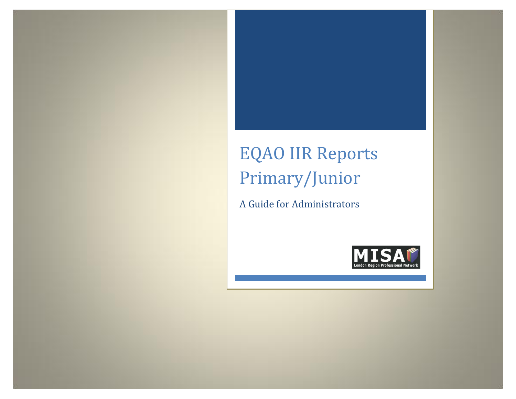# EQAO IIR Reports Primary/Junior

A Guide for Administrators

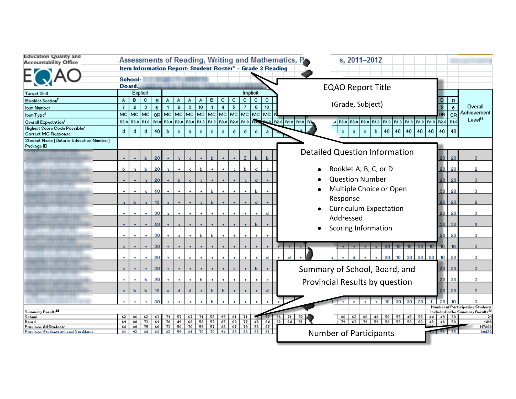| <b>Education Quality and</b><br><b>Accountability Office</b>     |              |                      |                      |                  |              |                         |           |              |                                                                                         |                |             |           |           |                  | s, 2011-2012<br>Assessments of Reading, Writing and Mathematics, P                               |                                     |                  |                                                      |
|------------------------------------------------------------------|--------------|----------------------|----------------------|------------------|--------------|-------------------------|-----------|--------------|-----------------------------------------------------------------------------------------|----------------|-------------|-----------|-----------|------------------|--------------------------------------------------------------------------------------------------|-------------------------------------|------------------|------------------------------------------------------|
|                                                                  |              | School:              |                      |                  |              |                         |           |              | Item Information Report: Student Roster" - Grade 3 Reading                              |                |             |           |           |                  |                                                                                                  |                                     |                  |                                                      |
|                                                                  |              | <b>Board:</b>        |                      |                  |              |                         |           |              |                                                                                         |                |             |           |           |                  | <b>EQAO Report Title</b>                                                                         |                                     |                  |                                                      |
| Target Skill                                                     |              |                      | Explicit             |                  |              |                         |           |              |                                                                                         |                |             |           | Implicit  |                  |                                                                                                  |                                     |                  |                                                      |
| <b>Booklet Section<sup>T</sup></b>                               | A.           | в                    | c.                   | в                | Α            | Α                       | Α         | ٨            | в                                                                                       | c              | c           | c         | c         | c.               | (Grade, Subject)                                                                                 |                                     | D                | Overall                                              |
| <b>Item Number</b>                                               | $\mathbf{7}$ | $\overline{2}$       | 3                    | 6                | $\mathbf{1}$ | $\overline{\mathbf{2}}$ | э         | 10           | $\mathbf{1}$                                                                            | $\overline{4}$ | 5           | -7        | 8         | 10 <sub>10</sub> |                                                                                                  |                                     | $\mathbf 6$      | Achievement                                          |
| Item Type <sup>#</sup>                                           |              | MC MC MC             |                      |                  |              |                         |           |              | or  Mc  Mc  Mc  Mc  Mc  Mc  Mc  Mc                                                      |                |             |           |           | l MC l           |                                                                                                  | 0R                                  | <b>OR</b>        | Leve <sup>nt</sup>                                   |
| Overall Expectation <sup>5</sup>                                 |              |                      |                      |                  |              |                         |           |              | R3.0   R3.0   R1.0   R1.0   R3.0   R2.0   R3.0   R1.0   R1.0   R3.0   R2.0   R1.0   R3. |                |             |           |           |                  | R1.0   R1.0   R1.0   R2.0   R1.0<br><b>RELO RELO RELO RE</b><br>.J R2.0 R3.0 R2.0 R1.0 R1.0 R1.0 |                                     |                  |                                                      |
| <b>Highest Score Code Possible/</b><br>Correct MC Response       | d.           | d                    | d                    | 40               | b            | c.                      | a         | c.           | c.                                                                                      | a              | đ           | d         | c.        | a                | 40 <sub>1</sub><br>40<br>40<br>40<br>c.<br>ь<br>c.<br>a                                          | 40<br>40                            | 40               |                                                      |
| Student Name (Ontario Education Number)<br>Package ID            |              |                      |                      |                  |              |                         |           |              |                                                                                         |                |             |           |           |                  |                                                                                                  |                                     |                  |                                                      |
|                                                                  |              |                      | Ы                    | 20               |              |                         |           |              |                                                                                         |                |             |           |           |                  | <b>Detailed Question Information</b>                                                             | 20                                  | 20               | з                                                    |
|                                                                  |              |                      |                      |                  |              |                         |           |              |                                                                                         |                |             |           |           |                  |                                                                                                  |                                     |                  |                                                      |
|                                                                  | ы            | a.                   | ы                    | 20               | a.           |                         | c.        | ы            |                                                                                         |                |             | ы         | d         |                  | Booklet A, B, C, or D<br>٠                                                                       | 20                                  | 20               | 2                                                    |
|                                                                  |              |                      |                      | 20               |              | ь                       |           |              |                                                                                         |                |             |           | н         |                  | <b>Question Number</b>                                                                           | 20                                  | 20               | 3.                                                   |
|                                                                  | $\bullet$    |                      | c.                   | 40               |              |                         |           |              | Ь                                                                                       |                |             |           | ь         |                  | Multiple Choice or Open                                                                          | 30                                  | 20               | з                                                    |
|                                                                  | a.           | ы                    | $\mathbf{a}$         | 10 <sub>10</sub> | a.           |                         |           |              |                                                                                         |                |             |           | d         |                  | Response                                                                                         | 20                                  | 20               | $\overline{2}$                                       |
|                                                                  |              |                      |                      |                  |              |                         |           |              |                                                                                         |                |             |           |           |                  | <b>Curriculum Expectation</b>                                                                    |                                     |                  |                                                      |
|                                                                  | ٠            | ٠                    | ٠                    | 30               | ÷.           | ٠                       |           |              |                                                                                         |                |             |           |           |                  | Addressed                                                                                        | 20                                  | 20               | з                                                    |
|                                                                  |              |                      |                      | 40               |              |                         |           |              |                                                                                         |                |             |           |           |                  |                                                                                                  | 30                                  | 30               | A                                                    |
|                                                                  |              |                      |                      | 30               |              | a.                      |           | ь            | ь                                                                                       |                |             |           |           |                  | <b>Scoring Information</b><br>$\bullet$                                                          | 20                                  | 20               | з                                                    |
|                                                                  |              |                      |                      | 30               |              |                         |           |              |                                                                                         |                |             |           |           |                  | 30 <sub>1</sub><br>$10-10$<br>20<br>$10^{-}$                                                     | 10 <sup>1</sup><br>10 <sub>10</sub> | 10 <sub>10</sub> | з.                                                   |
|                                                                  |              |                      |                      |                  |              |                         |           |              |                                                                                         |                |             |           |           |                  |                                                                                                  |                                     |                  |                                                      |
|                                                                  | ٠            | $\ddot{\phantom{1}}$ | $\ddot{\phantom{1}}$ | 20               |              | ٠                       | c.        |              |                                                                                         |                |             |           |           |                  | 30.<br>20<br>m                                                                                   | 20 <sub>1</sub><br>10 <sub>1</sub>  | 20               | з.                                                   |
|                                                                  |              |                      |                      | 30               |              |                         |           |              |                                                                                         |                |             |           |           |                  | Summary of School, Board, and                                                                    | 20                                  | 20               | 3.                                                   |
|                                                                  | ٠            | ٠                    | ы                    | 20               | $\bullet$    | ٠                       | ٠         | ы            |                                                                                         |                |             |           |           |                  | Provincial Results by question                                                                   | 20                                  | 30               | з                                                    |
|                                                                  |              | ы                    | ы                    | 10 <sub>10</sub> |              | d.                      | d         |              |                                                                                         |                |             |           |           |                  |                                                                                                  | 20                                  | -20              | $\overline{2}$                                       |
|                                                                  |              |                      |                      | 30               |              |                         |           |              |                                                                                         |                |             |           |           |                  | 30<br>30<br>10 <sub>10</sub><br>20                                                               | 20                                  | -10              | з                                                    |
| Summary Recults#                                                 |              |                      |                      |                  |              |                         |           |              |                                                                                         |                |             |           |           |                  |                                                                                                  |                                     |                  | Number of Participating Students                     |
| School                                                           | 62.          | 86 I                 | 62.                  | 63.              | 71           |                         | 57 67     | 71           | 52                                                                                      | 95             | 81          | 71        |           | $58$ 57 86 71    | 56 55<br>- 52 H<br>48<br>45<br>58<br>86  <br>62.<br>86.                                          | 44<br>49 50                         |                  | Included in the Summary Results <sup>55</sup><br>-21 |
| Baard                                                            | 69.          | \$0                  | 73                   | 61               | 70           | 49                      | 68.       | 58           | 53                                                                                      | 85             | 68.         | 77        | 48        | 64               | $82$ 64 51<br>79 63 79 59 58 53 50<br>60                                                         | 48<br>48                            | 50               | 1418                                                 |
| Pravince: All Studentr<br>Pravince: Students at Level 3 or Above | 68.<br>81.   | -≉0 l<br>92.         | 75<br>84             | 68               | 60 73<br>82. | 50 L<br>59.             | 70<br>81. | -59  <br>70. | 57<br>70.                                                                               | 86 ∣<br>94     | -67.<br>82. | 79<br>88. | 52<br>-62 | -67.1<br>-81 I   | <b>Number of Participants</b>                                                                    | 53 52 55                            |                  | 117800<br>80420                                      |
|                                                                  |              |                      |                      |                  |              |                         |           |              |                                                                                         |                |             |           |           |                  |                                                                                                  |                                     |                  |                                                      |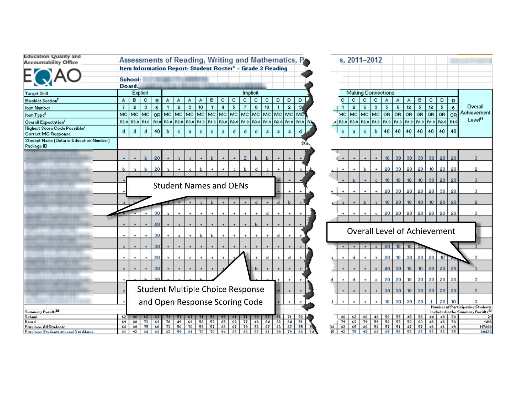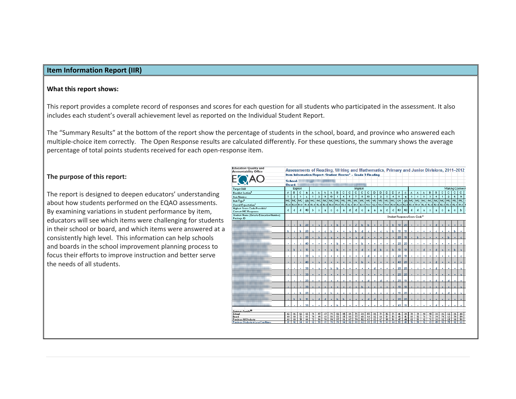## **Item Information Report (IIR)**

#### **What this report shows:**

This report provides <sup>a</sup> complete record of responses and scores for each question for all students who participated in the assessment. It also includes each student's overall achievement level as reported on the Individual Student Report.

The "Summary Results" at the bottom of the report show the percentage of students in the school, board, and province who answered each multiple‐choice item correctly. The Open Response results are calculated differently. For these questions, the summary shows the average percentage of total points students received for each open‐response item.

## **The purpose of this report:**

The report is designed to deepen educators' understanding about how students performed on the EQAO assessments. By examining variations in student performance by item, educators will see which items were challenging for students in their school or board, and which items were answered at <sup>a</sup> consistently high level. This information can help schools and boards in the school improvement planning process to focus their efforts to improve instruction and better serve the needs of all students.

| <b>Education Quality and</b><br><b>Accountability Office</b> |                |                |           |                  |                                                            |                |     |                |              |                      |    |                |              |                                                        |              |                |    |       |                  |                  |                               |            |                |              |              |              |                     |      | Assessments of Reading, Writing and Mathematics, Primary and Junior Divisions, 2011-2012 |
|--------------------------------------------------------------|----------------|----------------|-----------|------------------|------------------------------------------------------------|----------------|-----|----------------|--------------|----------------------|----|----------------|--------------|--------------------------------------------------------|--------------|----------------|----|-------|------------------|------------------|-------------------------------|------------|----------------|--------------|--------------|--------------|---------------------|------|------------------------------------------------------------------------------------------|
|                                                              |                |                |           |                  | Item Information Report: Student Roster" - Grade 3 Reading |                |     |                |              |                      |    |                |              |                                                        |              |                |    |       |                  |                  |                               |            |                |              |              |              |                     |      |                                                                                          |
|                                                              |                | School:        |           |                  |                                                            |                |     |                |              |                      |    |                |              |                                                        |              |                |    |       |                  |                  |                               |            |                |              |              |              |                     |      |                                                                                          |
|                                                              |                | Board:         |           |                  | <b><i><b>BREITH CENT</b></i></b>                           |                |     |                |              |                      |    |                |              |                                                        |              |                |    |       |                  |                  |                               |            |                |              |              |              |                     |      |                                                                                          |
| <b>Target Skill</b>                                          |                |                | Explicit  |                  |                                                            |                |     |                |              |                      |    | Implicit       |              |                                                        |              |                |    |       |                  |                  |                               |            |                |              |              |              |                     |      | <b>Making Connect</b>                                                                    |
| Booklet Section <sup>†</sup>                                 | A              | в              | c         | в                | ٨                                                          | ٨              | ٨   | ٨              | в            | c                    | c  | c              | c            | c.                                                     | D            | D              | D  | D     | ٨                | c                | ٨                             | ٨          | ٨              | B            | в            | с            | c                   | c    | c                                                                                        |
| <b>Item Number</b>                                           | $\overline{1}$ | $\overline{2}$ | 3         | 6                | $\overline{1}$                                             | $\overline{2}$ | э   | 10             | $\mathbf{I}$ | $\ddot{\phantom{a}}$ | 5  | $\mathbf{7}$   | $\circ$      | 10                                                     | $\mathbf{1}$ | $\overline{2}$ | 3  | 4     | 11               | 11               | 3                             | $\ddot{4}$ | $\ddot{\circ}$ | з            | 4            | $\mathbf{1}$ | $\overline{2}$      | 6    | $\mathbf{s}$                                                                             |
| Item Type <sup>#</sup>                                       | MC             | MC             | MC        |                  | OR MC                                                      | MC             | MC  | <b>IMC</b>     | MC           | MC                   |    |                |              | MC MC MC MC MC MC MC MC MC                             |              |                |    |       | l ora            |                  | OR MC                         |            | MC MC          | MC           | <b>MC</b>    | MC           | MC                  | MC.  | MC.                                                                                      |
| <b>Overall Expectation<sup>5</sup></b>                       | R3.0           |                | R3.0 R1.0 |                  | R1.0 R3.0                                                  | R2.0           |     | R3.0 R1.0      | R1.0         | R3.0                 |    | R2.0 R1.0      |              | B3.0 B1.0 B2.0 B1.0 B1.0 B3.0 B2.0 B2.0 B3.0 B1.0 B2.0 |              |                |    |       |                  |                  |                               |            |                |              |              |              | R2.0 R3.0 R2.0 R3.0 | R2.0 | <b>B1.0 F</b>                                                                            |
| <b>Highest Score Code Possible/</b><br>Correct MC Response   | d              | d              | d         | 40               | b                                                          | $\circ$        | a   | o.             | $\mathbf{c}$ | a                    | d  | d              | $\mathbf{c}$ | a                                                      | a            | a              | d  | d     | 40               | 40               | d                             | d          | a              | $\mathbf{c}$ | $\mathbf{a}$ | c.           | a.                  | o.   | ь                                                                                        |
| Student Name (Ontario Education Number)<br>Package ID        |                |                |           |                  |                                                            |                |     |                |              |                      |    |                |              |                                                        |              |                |    |       |                  |                  | Student Response/Score Code"* |            |                |              |              |              |                     |      |                                                                                          |
|                                                              |                | ٠              | ы         | 20 <sub>1</sub>  | ٠                                                          | $\overline{a}$ | c.  | ٠              | ь            | ٠                    | ٠  | $\overline{z}$ | ы            | ь                                                      | ٠            |                |    | ы     | 10 <sub>10</sub> | 20               |                               |            |                | ٠            | d            |              |                     |      |                                                                                          |
|                                                              | Ы              | b.             | ы         | 20               | a.                                                         | ٠              | ¢.  | ь              | ٠            | ٠                    | a. | ы              | ď            | ¢.                                                     | ٠            | c.             | a. | ь     | 10 <sub>10</sub> | 10               |                               |            |                | ٠            | c            | ٠            |                     | ь    |                                                                                          |
|                                                              |                |                |           | 20               |                                                            | ь              | ċ   | b.             |              |                      |    |                | ď            |                                                        | ٠            | ٠              |    |       | 20               | 10               |                               | ь          |                |              |              |              |                     |      |                                                                                          |
|                                                              |                |                | ¢.        | 40               |                                                            | ٠              | ٠   | ٠              | ь            | ٠                    | ٠  | ٠              | ь            | ٠                                                      | ٠            | ٠              | ٠  | ٠     | 20               | 20               |                               | ٠          | ٠              | ٠            | ٠            | ٠            | ٠                   | ٠    |                                                                                          |
|                                                              |                | ь              | b.        | 10 <sub>10</sub> |                                                            | ٠              | ٠   | $\overline{a}$ | ь            |                      |    |                | d.           |                                                        | d.           | ь              | c. | ь     | 10 <sub>10</sub> | 10 <sub>10</sub> |                               |            | d              |              | d            |              |                     | ь    | a.                                                                                       |
|                                                              |                |                |           | 30               | ä.                                                         | ٠              | ٠   | ٠              | ٠            | ٠                    | ٠  |                |              | ď                                                      | ٠            | ٠              |    | ٠     | 20               | 10               |                               | ٠          |                | ٠            | ٠            |              |                     |      | c                                                                                        |
|                                                              |                |                |           | 40               |                                                            | a              | ٠   |                |              |                      |    |                | ь            |                                                        |              |                |    |       | 40               | 20               |                               |            |                |              | d            |              |                     |      |                                                                                          |
|                                                              |                |                |           | 30               |                                                            | a.             | ٠   | ь              | ь            | ٠                    | ٠  |                |              | ٠                                                      | d            |                |    |       | 20               | 20               |                               | ×.         |                |              | d            |              |                     |      | a.                                                                                       |
|                                                              | c              |                |           | 30               |                                                            | ٠              | ٠   |                |              | ٠                    | ٠  |                |              |                                                        |              |                | c. |       | 20               | 20               |                               |            |                |              | ٠            |              |                     |      | n.                                                                                       |
|                                                              |                | ٠              | ٠         | 20               |                                                            | ٠              | ¢.  | ٠              | ٠            | ٠                    | ٠  |                | ٠            | d                                                      | ٠            | đ              | ٠  | ٠     | 20               | 10 <sub>10</sub> |                               | ٠          |                | ٠            | d            |              | d                   |      |                                                                                          |
|                                                              |                |                |           | 30               |                                                            | ٠              | ٠   | ٠              | ٠            | ٠                    | c. |                | ь            |                                                        | ٠            | ٠              |    | ٠     | 10 <sub>10</sub> | 10               |                               |            |                |              | ٠            |              |                     |      | ×.                                                                                       |
|                                                              |                |                | ь         | 20               |                                                            | ٠              | ٠   | ь              | ٠            | ٠                    | ٠  |                | ٠            | c                                                      | ٠            | ٠              |    | ٠     | 10               | 20               |                               | ٠          | ٠              | ٠            | d            |              | d                   |      | ä.                                                                                       |
|                                                              |                | ь              | ы         | 10 <sub>10</sub> | $\overline{a}$                                             | d.             | d   | $\ddot{}$      | ь            | ы                    | ٠  |                |              | d.                                                     | d            | ٠              | c. |       | 20               | 20               |                               | r.         |                |              | ٠            |              |                     |      | ٠                                                                                        |
|                                                              |                |                |           | 30               |                                                            | ٠              |     |                | ь            |                      | ٠  |                |              |                                                        | ٠            |                |    |       | 40               | 10               |                               |            |                |              |              |              |                     |      |                                                                                          |
| Summary Regula#                                              |                |                |           |                  |                                                            |                |     |                |              |                      |    |                |              |                                                        |              |                |    |       |                  |                  |                               |            |                |              |              |              |                     |      |                                                                                          |
| School                                                       | 62             | 86             | 62        | 63               | 71                                                         | 57             | 67  | 71             | 52           | 95                   | 31 | <b>71</b> L    | 38           | 57 I                                                   | 36           | <b>71</b> L    |    | 52 71 |                  | 46 39            | 71                            | 71         | 90             | 95           | 38           | 86           | 62                  | 86   | 48                                                                                       |
| Baard                                                        | 69             | \$0            | 73        | 61               | 70                                                         | 49             | 68  | 58             | 53           | 85                   | 68 | 77             | 48           | 64                                                     |              | $82$ 64        | 51 | 58    | 48               | 46               | 61                            | 53         | 78             | 71           | 39           | 79           | 63                  | 79   | 59                                                                                       |
| Pravince: All Students                                       | 68             | 80             | 75        | 60               | 73                                                         | 50             | 70  | 59             | 57           | 86                   | 67 | 79             | 52           | 67                                                     | 83           | 67             |    | 55 56 | 47               | 44               | 63                            | 51         | \$2            | 71           | 38           | 82           | 65                  | \$0  | 58                                                                                       |
| Pravince: Students at Level 3 or Above                       | \$1            | 92             | 84        | 68               | 82                                                         | 59             | \$1 | 70             | 70           | 94                   | 82 | 88             | 62           | $*1$                                                   | 89           | 79             | 68 | 64    | 53               | 49               | 76                            | 59         | 92             | 83           | 45           | 92           | 75                  | 92   | 68                                                                                       |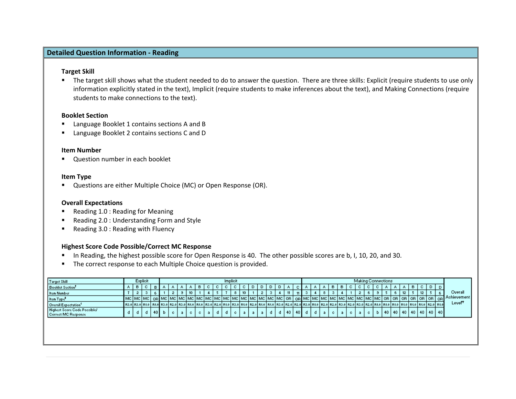# **Detailed Question Information ‐ Reading**

### **Target Skill**

 The target skill shows what the student needed to do to answer the question. There are three skills: Explicit (require students to use only information explicitly stated in the text), Implicit (require students to make inferences about the text), and Making Connections (require students to make connections to the text).

## **Booklet Section**

- Г Language Booklet 1 contains sections A and B
- Language Booklet 2 contains sections C and D

#### **Item Number**

Question number in each booklet

#### **Item Type**

Questions are either Multiple Choice (MC) or Open Response (OR).

## **Overall Expectations**

- $\mathbf{m}$ Reading 1.0 : Reading for Meaning
- $\blacksquare$ Reading 2.0 : Understanding Form and Style
- Reading 3.0 : Reading with Fluency

## **Highest Score Code Possible/Correct MC Response**

- In Reading, the highest possible score for Open Response is 40. The other possible scores are b, I, 10, 20, and 30.
- **The correct response to each Multiple Choice question is provided.**

| Target Skill                                        |    |                                                                                                                                                                                                                              | Explicit |      |    |      |     |  |    | Implicit |                  |  |  |    |        |  |  |    |    |  | <b>Making Connections</b> |  |    |     |   |                                  |                     |
|-----------------------------------------------------|----|------------------------------------------------------------------------------------------------------------------------------------------------------------------------------------------------------------------------------|----------|------|----|------|-----|--|----|----------|------------------|--|--|----|--------|--|--|----|----|--|---------------------------|--|----|-----|---|----------------------------------|---------------------|
| Booklet Section <sup>1</sup>                        | Α. | в                                                                                                                                                                                                                            | c.       | в.   | o. | - 61 |     |  | с. | c.       |                  |  |  |    |        |  |  | ю. | ъ. |  | ъ.                        |  | в. | -C. | D |                                  |                     |
| Item Number                                         |    |                                                                                                                                                                                                                              |          |      |    |      |     |  |    | -8       | 10 <sub>10</sub> |  |  |    |        |  |  |    |    |  |                           |  |    | 12  |   |                                  | Overall             |
| Item Type <sup>#</sup>                              |    |                                                                                                                                                                                                                              |          |      |    |      |     |  |    |          |                  |  |  |    |        |  |  |    |    |  |                           |  |    |     |   |                                  | Achievement         |
| Overall Expectation <sup>5</sup>                    |    | R2.0   R3.0   R3.0   R3.0   R2.0   R2.0   R3.0   R3.0   R3.0   R3.0   R3.0   R3.0   R3.0   R3.0   R3.0   R2.0   R2.0   R3.0   R3.0   R3.0   R3.0   R3.0   R3.0   R3.0   R3.0   R3.0   R3.0   R3.0   R3.0   R3.0   R3.0   R3. |          |      |    |      |     |  |    |          |                  |  |  |    |        |  |  |    |    |  |                           |  |    |     |   |                                  | Level <sup>tt</sup> |
| Highest Score Code Possible/<br>Correct MC Response | đ. |                                                                                                                                                                                                                              | d        | 40 L |    |      | -c. |  |    | c.       |                  |  |  | 40 | 40   d |  |  |    |    |  |                           |  |    |     |   | 40   40   40   40   40   40   40 |                     |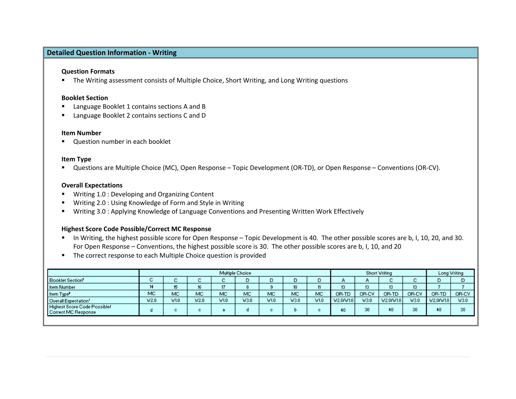# **Detailed Question Information ‐ Writing**

## **Question Formats**

**The Writing assessment consists of Multiple Choice, Short Writing, and Long Writing questions** 

### **Booklet Section**

- Language Booklet 1 contains sections A and B
- Language Booklet 2 contains sections C and D

#### **Item Number**

Question number in each booklet

## **Item Type**

■ Questions are Multiple Choice (MC), Open Response – Topic Development (OR-TD), or Open Response – Conventions (OR-CV).

## **Overall Expectations**

- Writing 1.0 : Developing and Organizing Content
- Writing 2.0 : Using Knowledge of Form and Style in Writing
- Writing 3.0 : Applying Knowledge of Language Conventions and Presenting Written Work Effectively

## **Highest Score Code Possible/Correct MC Response**

- In Writing, the highest possible score for Open Response Topic Development is 40. The other possible scores are b, I, 10, 20, and 30. For Open Response – Conventions, the highest possible score is 30. The other possible scores are b, I, 10, and 20
- **The correct response to each Multiple Choice question is provided**

|                                                     |        |             |             |      | Multiple Choice |      |                  |           | Short Writing   |       |             | Long Writing    |           |       |
|-----------------------------------------------------|--------|-------------|-------------|------|-----------------|------|------------------|-----------|-----------------|-------|-------------|-----------------|-----------|-------|
| Booklet Section <sup>t</sup>                        | ~<br>÷ | $\sim$<br>u | $\sim$<br>÷ |      |                 |      |                  |           | А.              | o.    | $\sim$<br>ັ | $\sim$<br>ω.    | D         | D     |
| Item Number                                         | 14     | 15<br>ю     | 16          |      |                 |      | 10 <sub>10</sub> |           | 13 <sup>°</sup> | 13    | 13          | 13 <sup>°</sup> |           |       |
| Item Type <sup>#</sup>                              | MC     | MC          | MC          | MC   | MC              | MC   | MC               | <b>MC</b> | OR-TD           | OR-CV | OR-TD       | OR-CV           | OR-TD     | OR-CV |
| Overall Expectation <sup>5</sup>                    | V2.0   | V1.0        | V2.0        | V1.0 | W3.0            | V1.0 | V3.0             | V1.0      | V2.0/V1.0       | V3.0  | V2.0/V1.0   | V3.0            | V2.0/V1.0 | V3.0  |
| Highest Score Code Possible/<br>Correct MC Response | o      | c           | c.          |      |                 | с.   |                  |           | 40              | 30    | 40          | 30              | 40        | 30    |
|                                                     |        |             |             |      |                 |      |                  |           |                 |       |             |                 |           |       |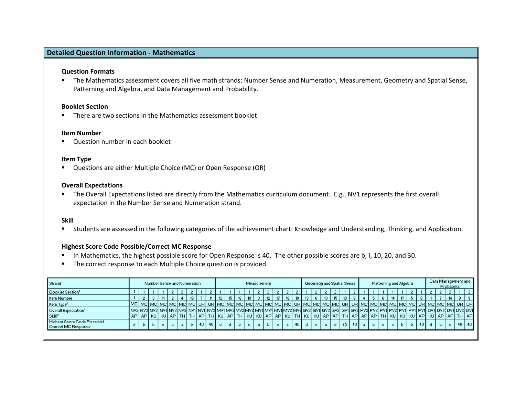## **Detailed Question Information ‐ Mathematics**

## **Question Formats**

 The Mathematics assessment covers all five math strands: Number Sense and Numeration, Measurement, Geometry and Spatial Sense, Patterning and Algebra, and Data Management and Probability.

#### **Booklet Section**

**There are two sections in the Mathematics assessment booklet** 

#### **Item Number**

Question number in each booklet

## **Item Type**

Questions are either Multiple Choice (MC) or Open Response (OR)

## **Overall Expectations**

 The Overall Expectations listed are directly from the Mathematics curriculum document. E.g., NV1 represents the first overall expectation in the Number Sense and Numeration strand.

## **Skill**

Students are assessed in the following categories of the achievement chart: Knowledge and Understanding, Thinking, and Application.

## **Highest Score Code Possible/Correct MC Response**

- In Mathematics, the highest possible score for Open Response is 40. The other possible scores are b, I, 10, 20, and 30.
- The correct response to each Multiple Choice question is provided

| Strand                                              |     | Number Sense and Numeration |  |  |  |  |  |      |                 |      |                  |                  | Measurement |         |      |                 |    |                  | Geometry and Spatial Sense |      |      |  |    | Patterning and Algebra |      |  | Probability | Data Management and                                                                                                                                                    |  |
|-----------------------------------------------------|-----|-----------------------------|--|--|--|--|--|------|-----------------|------|------------------|------------------|-------------|---------|------|-----------------|----|------------------|----------------------------|------|------|--|----|------------------------|------|--|-------------|------------------------------------------------------------------------------------------------------------------------------------------------------------------------|--|
| Booklet Section <sup>t</sup>                        |     |                             |  |  |  |  |  |      |                 |      |                  |                  |             |         |      |                 |    |                  |                            |      |      |  |    |                        |      |  |             |                                                                                                                                                                        |  |
| Item Number                                         |     |                             |  |  |  |  |  |      |                 | 15 I | 16 <sup>16</sup> | 18 <sup>18</sup> |             | $12-12$ | 18 I | 10 <sup>1</sup> |    | 13 <sup>13</sup> |                            |      |      |  | 14 | -17 L                  |      |  |             |                                                                                                                                                                        |  |
| Item Type*                                          |     |                             |  |  |  |  |  |      |                 |      |                  |                  |             |         |      |                 |    |                  |                            |      |      |  |    |                        |      |  |             |                                                                                                                                                                        |  |
| Overall Expectation <sup>5</sup>                    |     |                             |  |  |  |  |  |      |                 |      |                  |                  |             |         |      |                 |    |                  |                            |      |      |  |    |                        |      |  |             | NV2  NV3  NV3  NV1  NV3  NV3  NV1  NV3  MV1 MV2  MV4 MV2  MV1  MV1  MV1  MV2  MV2  GV3  GV2  GV3  GV2  GV3  PV2  PV2  PV1  PV2  PV1  PV1  PV1  DV1  DV3  DV1  DV2  DV1 |  |
| Skill"                                              | AP. |                             |  |  |  |  |  |      |                 |      |                  |                  |             |         |      |                 |    |                  |                            |      |      |  |    |                        |      |  |             | APİKUİKUİAPİTHİTHIAPİTHIKUİAPITHIKUİKUİAPIAPIKUİTHIKUİKUİAPIAPITHIAPIAPIAPIAPITHIKUIKUIKUİAPINUIAPIAPITHIAPI                                                           |  |
| Highest Score Code Possible/<br>Correct MC Response |     | D.                          |  |  |  |  |  | 40 l | 40 <sup>1</sup> |      |                  |                  |             |         |      | $40$ d          | C. |                  |                            | 40 I | 40 L |  |    |                        | 40 L |  |             | 40   40                                                                                                                                                                |  |
|                                                     |     |                             |  |  |  |  |  |      |                 |      |                  |                  |             |         |      |                 |    |                  |                            |      |      |  |    |                        |      |  |             |                                                                                                                                                                        |  |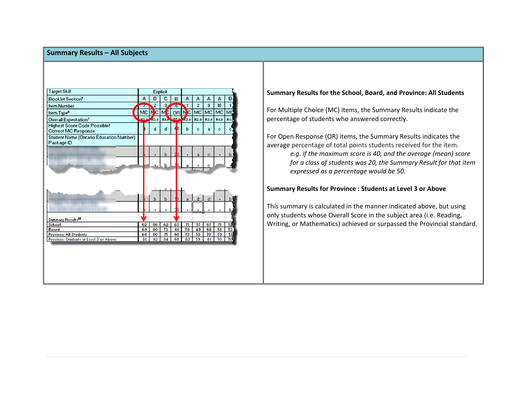## **Summary Results – All Subjects**



# **Summary Results for the School, Board, and Province: All Students**

For Multiple Choice (MC) items, the Summary Results indicate the percentage of students who answered correctly.

For Open Response (OR) items, the Summary Results indicates the average percentage of total points students received for the item.

> *e.g. if the maximum score is 40, and the average (mean) score for <sup>a</sup> class of students was 20, the Summary Result for that item expressed as <sup>a</sup> percentage would be 50.*

## **Summary Results for Province : Students at Level 3 or Above**

This summary is calculated in the manner indicated above, but using only students whose Overall Score in the subject area (i.e. Reading, Writing, or Mathematics) achieved or surpassed the Provincial standard.